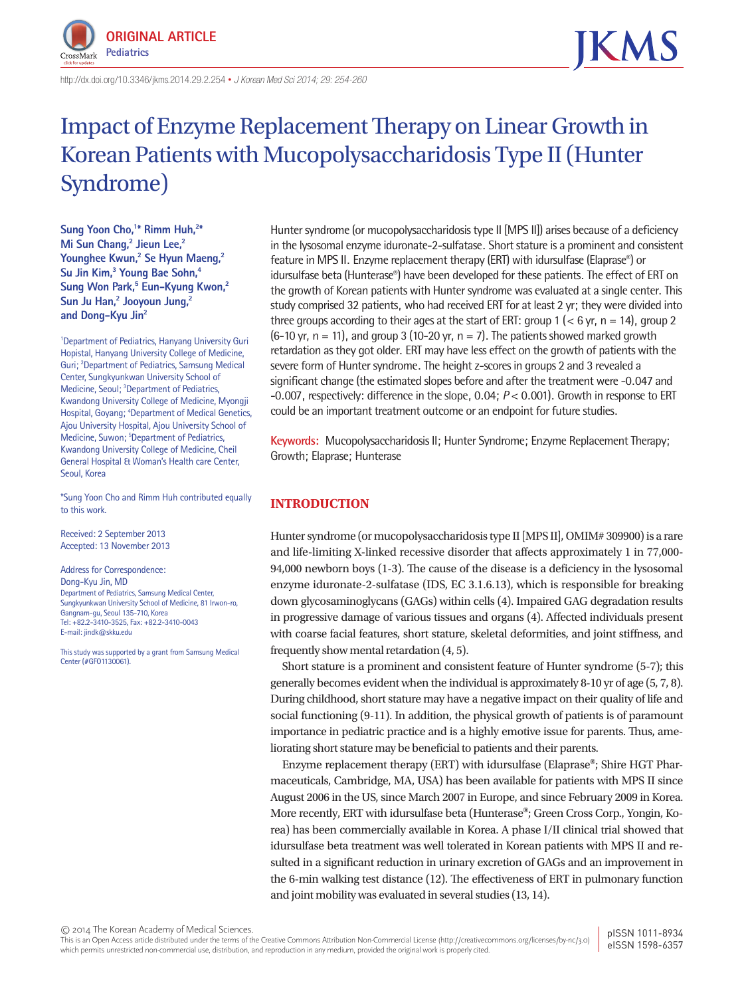

http://dx.doi.org/10.3346/ jkms.2014.29.2.254 • *J Korean Med Sci 2014; 29: 254-260*

# Impact of Enzyme Replacement Therapy on Linear Growth in Korean Patients with Mucopolysaccharidosis Type II (Hunter Syndrome)

Sung Yoon Cho,<sup>1\*</sup> Rimm Huh,<sup>2\*</sup> **Mi Sun Chang,<sup>2</sup> Jieun Lee,<sup>2</sup> Younghee Kwun,2 Se Hyun Maeng,2 Su Jin Kim,3 Young Bae Sohn,4** Sung Won Park,<sup>5</sup> Eun-Kyung Kwon,<sup>2</sup> **Sun Ju Han,2 Jooyoun Jung,2 and Dong-Kyu Jin2**

1 Department of Pediatrics, Hanyang University Guri Hopistal, Hanyang University College of Medicine, Guri; <sup>2</sup>Department of Pediatrics, Samsung Medical Center, Sungkyunkwan University School of Medicine, Seoul; <sup>3</sup>Department of Pediatrics, Kwandong University College of Medicine, Myongji Hospital, Goyang; <sup>4</sup>Department of Medical Genetics, Ajou University Hospital, Ajou University School of Medicine, Suwon; <sup>5</sup>Department of Pediatrics, Kwandong University College of Medicine, Cheil General Hospital & Woman's Health care Center, Seoul, Korea

\*Sung Yoon Cho and Rimm Huh contributed equally to this work.

Received: 2 September 2013 Accepted: 13 November 2013

Address for Correspondence: Dong-Kyu Jin, MD Department of Pediatrics, Samsung Medical Center, Sungkyunkwan University School of Medicine, 81 Irwon-ro, Gangnam-gu, Seoul 135-710, Korea Tel: +82.2-3410-3525, Fax: +82.2-3410-0043 E-mail: jindk@skku.edu

This study was supported by a grant from Samsung Medical Center (#GFO1130061).

Hunter syndrome (or mucopolysaccharidosis type II [MPS II]) arises because of a deficiency in the lysosomal enzyme iduronate-2-sulfatase. Short stature is a prominent and consistent feature in MPS II. Enzyme replacement therapy (ERT) with idursulfase (Elaprase®) or idursulfase beta (Hunterase®) have been developed for these patients. The effect of ERT on the growth of Korean patients with Hunter syndrome was evaluated at a single center. This study comprised 32 patients, who had received ERT for at least 2 yr; they were divided into three groups according to their ages at the start of ERT: group  $1$  ( $\lt 6$  yr,  $n = 14$ ), group 2  $(6-10 \text{ yr}, n = 11)$ , and group 3 (10-20 yr, n = 7). The patients showed marked growth retardation as they got older. ERT may have less effect on the growth of patients with the severe form of Hunter syndrome. The height z-scores in groups 2 and 3 revealed a significant change (the estimated slopes before and after the treatment were -0.047 and -0.007, respectively: difference in the slope, 0.04; *P* < 0.001). Growth in response to ERT could be an important treatment outcome or an endpoint for future studies.

**Keywords:** Mucopolysaccharidosis II; Hunter Syndrome; Enzyme Replacement Therapy; Growth; Elaprase; Hunterase

# **INTRODUCTION**

Hunter syndrome (or mucopolysaccharidosis type II [MPS II], OMIM# 309900) is a rare and life-limiting X-linked recessive disorder that affects approximately 1 in 77,000- 94,000 newborn boys (1-3). The cause of the disease is a deficiency in the lysosomal enzyme iduronate-2-sulfatase (IDS, EC 3.1.6.13), which is responsible for breaking down glycosaminoglycans (GAGs) within cells (4). Impaired GAG degradation results in progressive damage of various tissues and organs (4). Affected individuals present with coarse facial features, short stature, skeletal deformities, and joint stiffness, and frequently show mental retardation (4, 5).

Short stature is a prominent and consistent feature of Hunter syndrome (5-7); this generally becomes evident when the individual is approximately 8-10 yr of age (5, 7, 8). During childhood, short stature may have a negative impact on their quality of life and social functioning (9-11). In addition, the physical growth of patients is of paramount importance in pediatric practice and is a highly emotive issue for parents. Thus, ameliorating short stature may be beneficial to patients and their parents.

Enzyme replacement therapy (ERT) with idursulfase (Elaprase**®**; Shire HGT Pharmaceuticals, Cambridge, MA, USA) has been available for patients with MPS II since August 2006 in the US, since March 2007 in Europe, and since February 2009 in Korea. More recently, ERT with idursulfase beta (Hunterase**®**; Green Cross Corp., Yongin, Korea) has been commercially available in Korea. A phase I/II clinical trial showed that idursulfase beta treatment was well tolerated in Korean patients with MPS II and resulted in a significant reduction in urinary excretion of GAGs and an improvement in the 6-min walking test distance (12). The effectiveness of ERT in pulmonary function and joint mobility was evaluated in several studies (13, 14).

© 2014 The Korean Academy of Medical Sciences.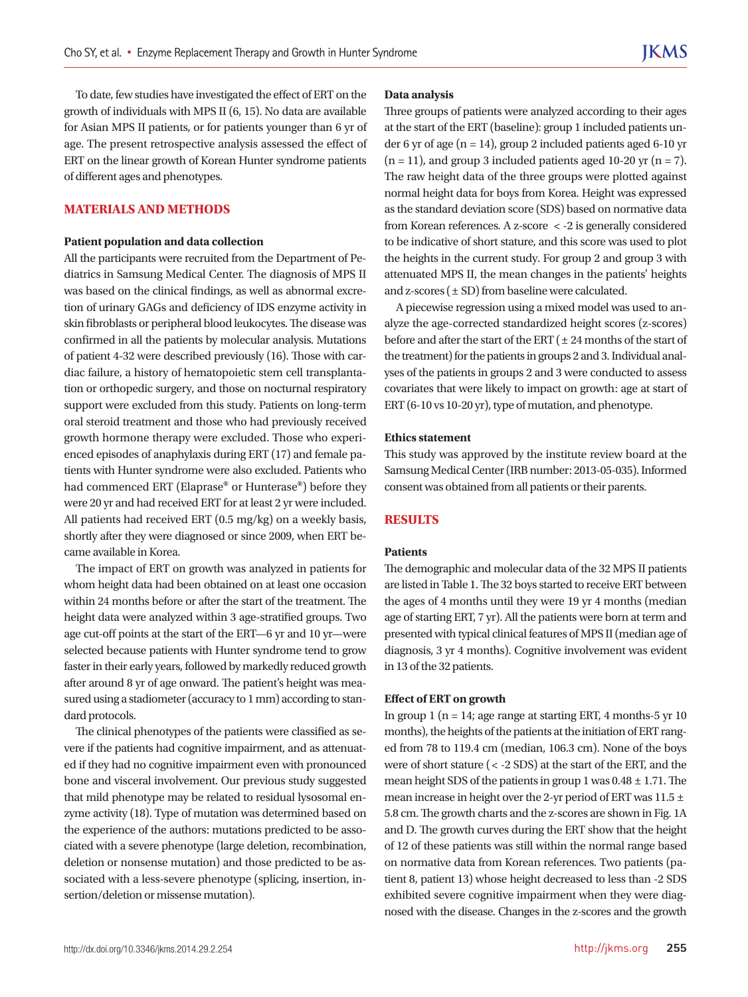To date, few studies have investigated the effect of ERT on the growth of individuals with MPS II (6, 15). No data are available for Asian MPS II patients, or for patients younger than 6 yr of age. The present retrospective analysis assessed the effect of ERT on the linear growth of Korean Hunter syndrome patients of different ages and phenotypes.

## **MATERIALS AND METHODS**

#### **Patient population and data collection**

All the participants were recruited from the Department of Pediatrics in Samsung Medical Center. The diagnosis of MPS II was based on the clinical findings, as well as abnormal excretion of urinary GAGs and deficiency of IDS enzyme activity in skin fibroblasts or peripheral blood leukocytes. The disease was confirmed in all the patients by molecular analysis. Mutations of patient 4-32 were described previously (16). Those with cardiac failure, a history of hematopoietic stem cell transplantation or orthopedic surgery, and those on nocturnal respiratory support were excluded from this study. Patients on long-term oral steroid treatment and those who had previously received growth hormone therapy were excluded. Those who experienced episodes of anaphylaxis during ERT (17) and female patients with Hunter syndrome were also excluded. Patients who had commenced ERT (Elaprase**®** or Hunterase**®**) before they were 20 yr and had received ERT for at least 2 yr were included. All patients had received ERT (0.5 mg/kg) on a weekly basis, shortly after they were diagnosed or since 2009, when ERT became available in Korea.

The impact of ERT on growth was analyzed in patients for whom height data had been obtained on at least one occasion within 24 months before or after the start of the treatment. The height data were analyzed within 3 age-stratified groups. Two age cut-off points at the start of the ERT—6 yr and 10 yr—were selected because patients with Hunter syndrome tend to grow faster in their early years, followed by markedly reduced growth after around 8 yr of age onward. The patient's height was measured using a stadiometer (accuracy to 1 mm) according to standard protocols.

The clinical phenotypes of the patients were classified as severe if the patients had cognitive impairment, and as attenuated if they had no cognitive impairment even with pronounced bone and visceral involvement. Our previous study suggested that mild phenotype may be related to residual lysosomal enzyme activity (18). Type of mutation was determined based on the experience of the authors: mutations predicted to be associated with a severe phenotype (large deletion, recombination, deletion or nonsense mutation) and those predicted to be associated with a less-severe phenotype (splicing, insertion, insertion/deletion or missense mutation).

#### **Data analysis**

Three groups of patients were analyzed according to their ages at the start of the ERT (baseline): group 1 included patients under 6 yr of age ( $n = 14$ ), group 2 included patients aged 6-10 yr  $(n = 11)$ , and group 3 included patients aged 10-20 yr  $(n = 7)$ . The raw height data of the three groups were plotted against normal height data for boys from Korea. Height was expressed as the standard deviation score (SDS) based on normative data from Korean references. A z-score < -2 is generally considered to be indicative of short stature, and this score was used to plot the heights in the current study. For group 2 and group 3 with attenuated MPS II, the mean changes in the patients' heights and z-scores  $(\pm SD)$  from baseline were calculated.

A piecewise regression using a mixed model was used to analyze the age-corrected standardized height scores (z-scores) before and after the start of the ERT  $(± 24$  months of the start of the treatment) for the patients in groups 2 and 3. Individual analyses of the patients in groups 2 and 3 were conducted to assess covariates that were likely to impact on growth: age at start of ERT (6-10 vs 10-20 yr), type of mutation, and phenotype.

#### **Ethics statement**

This study was approved by the institute review board at the Samsung Medical Center (IRB number: 2013-05-035). Informed consent was obtained from all patients or their parents.

# **RESULTS**

## **Patients**

The demographic and molecular data of the 32 MPS II patients are listed in Table 1. The 32 boys started to receive ERT between the ages of 4 months until they were 19 yr 4 months (median age of starting ERT, 7 yr). All the patients were born at term and presented with typical clinical features of MPS II (median age of diagnosis, 3 yr 4 months). Cognitive involvement was evident in 13 of the 32 patients.

#### **Effect of ERT on growth**

In group 1 ( $n = 14$ ; age range at starting ERT, 4 months-5 yr 10 months), the heights of the patients at the initiation of ERT ranged from 78 to 119.4 cm (median, 106.3 cm). None of the boys were of short stature (< -2 SDS) at the start of the ERT, and the mean height SDS of the patients in group 1 was 0.48 ± 1.71. The mean increase in height over the 2-yr period of ERT was 11.5 ± 5.8 cm. The growth charts and the z-scores are shown in Fig. 1A and D. The growth curves during the ERT show that the height of 12 of these patients was still within the normal range based on normative data from Korean references. Two patients (patient 8, patient 13) whose height decreased to less than -2 SDS exhibited severe cognitive impairment when they were diagnosed with the disease. Changes in the z-scores and the growth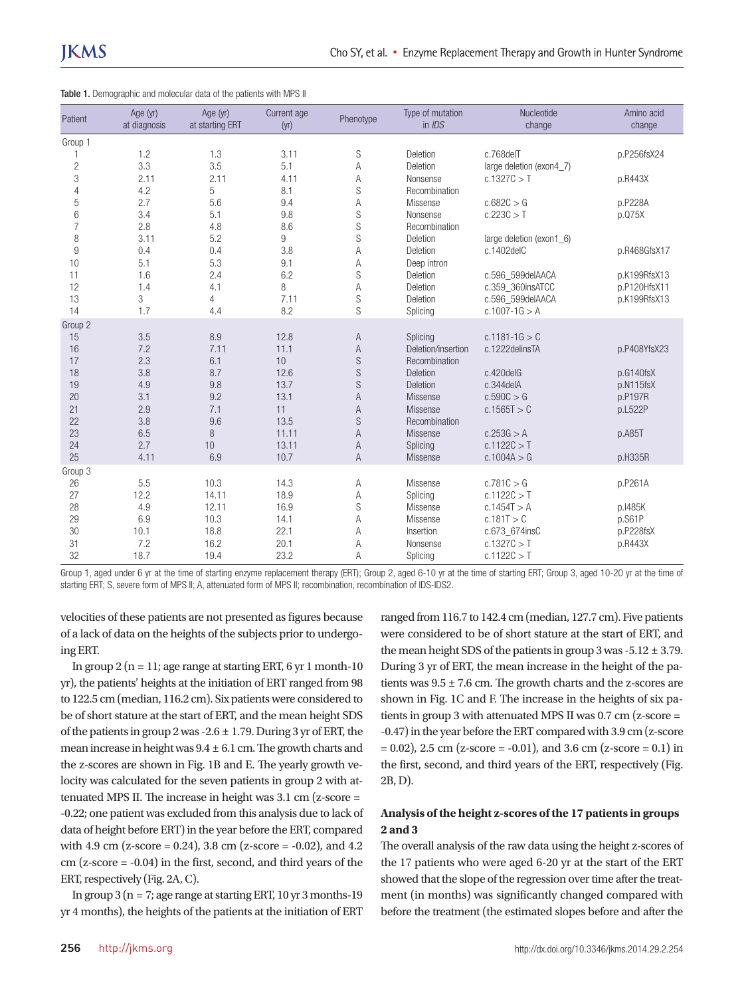| Patient        | Age (yr)<br>at diagnosis | Age (yr)<br>at starting ERT | Current age<br>(yr) | Phenotype      | Type of mutation<br>in $IDS$ | Nucleotide<br>change     | Amino acid<br>change |
|----------------|--------------------------|-----------------------------|---------------------|----------------|------------------------------|--------------------------|----------------------|
| Group 1        |                          |                             |                     |                |                              |                          |                      |
|                | 1.2                      | 1.3                         | 3.11                | S              | Deletion                     | c.768delT                | p.P256fsX24          |
| $\overline{c}$ | 3.3                      | 3.5                         | 5.1                 | A              | Deletion                     | large deletion (exon4_7) |                      |
| 3              | 2.11                     | 2.11                        | 4.11                | A              | Nonsense                     | c.1327C > T              | p.R443X              |
| $\overline{4}$ | 4.2                      | 5                           | 8.1                 | S              | Recombination                |                          |                      |
| 5              | 2.7                      | 5.6                         | 9.4                 | A              | Missense                     | c.682C > G               | p.P228A              |
| 6              | 3.4                      | 5.1                         | 9.8                 | ${\mathbb S}$  | Nonsense                     | c.223C > T               | p.075X               |
| $\overline{7}$ | 2.8                      | 4.8                         | 8.6                 | S              | Recombination                |                          |                      |
| 8              | 3.11                     | 5.2                         | 9                   | S              | Deletion                     | large deletion (exon1_6) |                      |
| 9              | 0.4                      | 0.4                         | 3.8                 | Α              | Deletion                     | c.1402delC               | p.R468GfsX17         |
| 10             | 5.1                      | 5.3                         | 9.1                 | Α              | Deep intron                  |                          |                      |
| 11             | 1.6                      | 2.4                         | 6.2                 | S              | Deletion                     | c.596 599delAACA         | p.K199RfsX13         |
| 12             | 1.4                      | 4.1                         | 8                   | Α              | Deletion                     | c.359_360insATCC         | p.P120HfsX11         |
| 13             | 3                        | 4                           | 7.11                | S              | Deletion                     | c.596_599delAACA         | p.K199RfsX13         |
| 14             | 1.7                      | 4.4                         | 8.2                 | ${\mathbb S}$  | Splicing                     | $c.1007 - 1G > A$        |                      |
| Group 2        |                          |                             |                     |                |                              |                          |                      |
| 15             | 3.5                      | 8.9                         | 12.8                | A              | Splicing                     | $c.1181 - 1G > C$        |                      |
| 16             | 7.2                      | 7.11                        | 11.1                | A              | Deletion/insertion           | c.1222delinsTA           | p.P408YfsX23         |
| 17             | 2.3                      | 6.1                         | 10                  | S              | Recombination                |                          |                      |
| 18             | 3.8                      | 8.7                         | 12.6                | $\mathbb S$    | Deletion                     | c.420delG                | p.G140fsX            |
| 19             | 4.9                      | 9.8                         | 13.7                | S              | <b>Deletion</b>              | $c.344$ del $A$          | p.N115fsX            |
| 20             | 3.1                      | 9.2                         | 13.1                | $\overline{A}$ | Missense                     | c.590C > G               | p.P197R              |
| 21             | 2.9                      | 7.1                         | 11                  | $\mathsf{A}$   | Missense                     | c.1565T > C              | p.L522P              |
| 22             | 3.8                      | 9.6                         | 13.5                | S              | Recombination                |                          |                      |
| 23             | 6.5                      | 8                           | 11.11               | $\overline{A}$ | <b>Missense</b>              | c.253G > A               | p.A85T               |
| 24             | 2.7                      | 10                          | 13.11               | A              | Splicing                     | c.1122C > T              |                      |
| 25             | 4.11                     | 6.9                         | 10.7                | A              | Missense                     | c.1004A > G              | p.H335R              |
| Group 3        |                          |                             |                     |                |                              |                          |                      |
| 26             | 5.5                      | 10.3                        | 14.3                | Α              | Missense                     | c.781C > G               | p.P261A              |
| 27             | 12.2                     | 14.11                       | 18.9                | А              | Splicing                     | c.1122C > T              |                      |
| 28             | 4.9                      | 12.11                       | 16.9                | S              | Missense                     | c.1454T > A              | p.1485K              |
| 29             | 6.9                      | 10.3                        | 14.1                | A              | Missense                     | c.181T > C               | p.S61P               |
| 30             | 10.1                     | 18.8                        | 22.1                | Α              | Insertion                    | c.673_674insC            | p.P228fsX            |
| 31             | 7.2                      | 16.2                        | 20.1                | А              | Nonsense                     | c.1327C > T              | p.R443X              |
| 32             | 18.7                     | 19.4                        | 23.2                | A              | Splicing                     | c.1122C > T              |                      |

|  | Table 1. Demographic and molecular data of the patients with MPS II |  |  |  |  |
|--|---------------------------------------------------------------------|--|--|--|--|
|  |                                                                     |  |  |  |  |

Group 1, aged under 6 yr at the time of starting enzyme replacement therapy (ERT); Group 2, aged 6-10 yr at the time of starting ERT; Group 3, aged 10-20 yr at the time of starting ERT; S, severe form of MPS II; A, attenuated form of MPS II; recombination, recombination of IDS-IDS2.

velocities of these patients are not presented as figures because of a lack of data on the heights of the subjects prior to undergoing ERT.

In group  $2(n = 11)$ ; age range at starting ERT, 6 yr 1 month-10 yr), the patients' heights at the initiation of ERT ranged from 98 to 122.5 cm (median, 116.2 cm). Six patients were considered to be of short stature at the start of ERT, and the mean height SDS of the patients in group 2 was -2.6  $\pm$  1.79. During 3 yr of ERT, the mean increase in height was  $9.4 \pm 6.1$  cm. The growth charts and the z-scores are shown in Fig. 1B and E. The yearly growth velocity was calculated for the seven patients in group 2 with attenuated MPS II. The increase in height was 3.1 cm (z-score = -0.22; one patient was excluded from this analysis due to lack of data of height before ERT) in the year before the ERT, compared with 4.9 cm (z-score = 0.24), 3.8 cm (z-score = -0.02), and 4.2 cm (z-score = -0.04) in the first, second, and third years of the ERT, respectively (Fig. 2A, C).

In group  $3(n = 7;$  age range at starting ERT,  $10 \text{ yr } 3 \text{ months} - 19$ yr 4 months), the heights of the patients at the initiation of ERT ranged from 116.7 to 142.4 cm (median, 127.7 cm). Five patients were considered to be of short stature at the start of ERT, and the mean height SDS of the patients in group 3 was  $-5.12 \pm 3.79$ . During 3 yr of ERT, the mean increase in the height of the patients was  $9.5 \pm 7.6$  cm. The growth charts and the z-scores are shown in Fig. 1C and F. The increase in the heights of six patients in group 3 with attenuated MPS II was 0.7 cm (z-score = -0.47) in the year before the ERT compared with 3.9 cm (z-score  $= 0.02$ ), 2.5 cm (z-score = -0.01), and 3.6 cm (z-score = 0.1) in the first, second, and third years of the ERT, respectively (Fig. 2B, D).

# **Analysis of the height z-scores of the 17 patients in groups 2 and 3**

The overall analysis of the raw data using the height z-scores of the 17 patients who were aged 6-20 yr at the start of the ERT showed that the slope of the regression over time after the treatment (in months) was significantly changed compared with before the treatment (the estimated slopes before and after the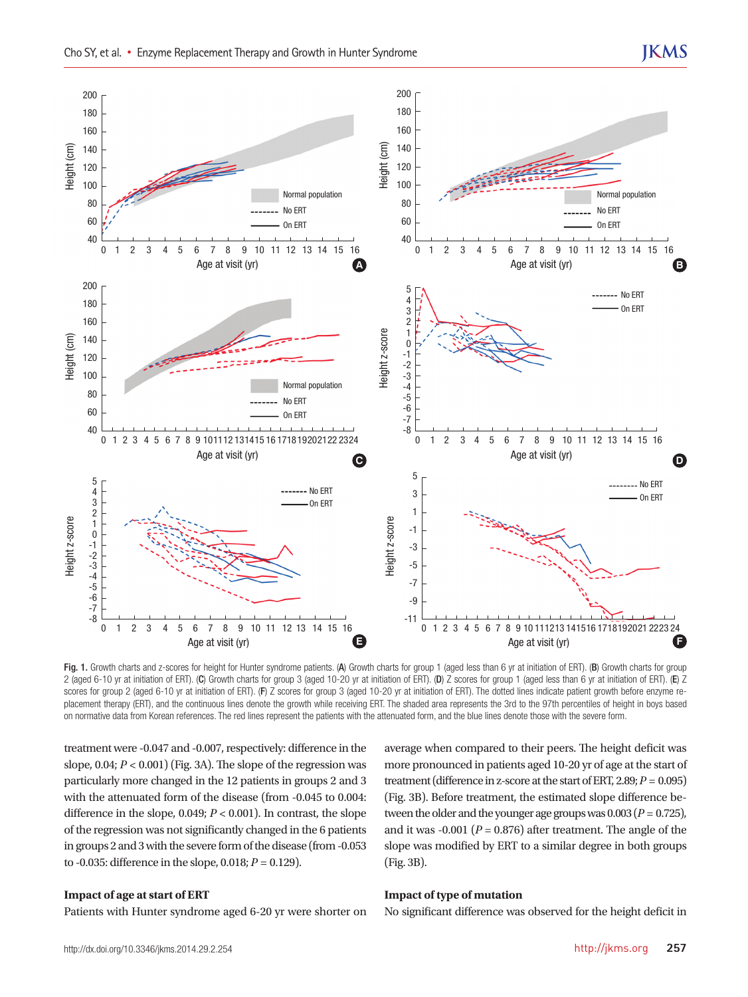

Fig. 1. Growth charts and z-scores for height for Hunter syndrome patients. (A) Growth charts for group 1 (aged less than 6 yr at initiation of ERT). (B) Growth charts for group 2 (aged 6-10 yr at initiation of ERT). (C) Growth charts for group 3 (aged 10-20 yr at initiation of ERT). (D) Z scores for group 1 (aged less than 6 yr at initiation of ERT). (E) Z scores for group 2 (aged 6-10 yr at initiation of ERT). (F) Z scores for group 3 (aged 10-20 yr at initiation of ERT). The dotted lines indicate patient growth before enzyme replacement therapy (ERT), and the continuous lines denote the growth while receiving ERT. The shaded area represents the 3rd to the 97th percentiles of height in boys based

treatment were -0.047 and -0.007, respectively: difference in the slope, 0.04; *P* < 0.001) (Fig. 3A). The slope of the regression was particularly more changed in the 12 patients in groups 2 and 3 with the attenuated form of the disease (from -0.045 to 0.004: difference in the slope, 0.049; *P* < 0.001). In contrast, the slope of the regression was not significantly changed in the 6 patients in groups 2 and 3 with the severe form of the disease (from -0.053 to -0.035: difference in the slope, 0.018; *P* = 0.129).

#### **Impact of age at start of ERT**

Patients with Hunter syndrome aged 6-20 yr were shorter on

average when compared to their peers. The height deficit was more pronounced in patients aged 10-20 yr of age at the start of treatment (difference in z-score at the start of ERT, 2.89;  $P = 0.095$ ) (Fig. 3B). Before treatment, the estimated slope difference between the older and the younger age groups was  $0.003 (P = 0.725)$ , and it was  $-0.001$  ( $P = 0.876$ ) after treatment. The angle of the slope was modified by ERT to a similar degree in both groups (Fig. 3B).

#### **Impact of type of mutation**

No significant difference was observed for the height deficit in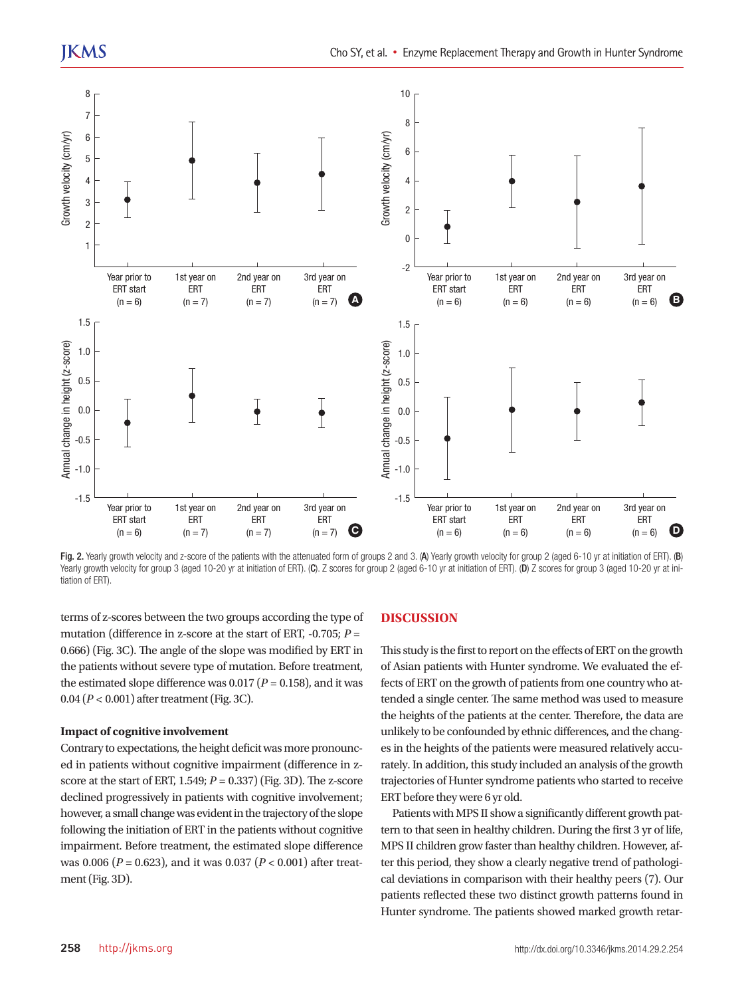

Fig. 2. Yearly growth velocity and z-score of the patients with the attenuated form of groups 2 and 3. (A) Yearly growth velocity for group 2 (aged 6-10 yr at initiation of ERT). (B) Yearly growth velocity for group 3 (aged 10-20 yr at initiation of ERT). (C). Z scores for group 2 (aged 6-10 yr at initiation of ERT). (D) Z scores for group 3 (aged 10-20 yr at initiation of ERT).

terms of z-scores between the two groups according the type of mutation (difference in z-score at the start of ERT, -0.705; *P* = 0.666) (Fig. 3C). The angle of the slope was modified by ERT in the patients without severe type of mutation. Before treatment, the estimated slope difference was  $0.017 (P = 0.158)$ , and it was 0.04 (*P* < 0.001) after treatment (Fig. 3C).

#### **Impact of cognitive involvement**

Contrary to expectations, the height deficit was more pronounced in patients without cognitive impairment (difference in zscore at the start of ERT, 1.549;  $P = 0.337$  (Fig. 3D). The z-score declined progressively in patients with cognitive involvement; however, a small change was evident in the trajectory of the slope following the initiation of ERT in the patients without cognitive impairment. Before treatment, the estimated slope difference was 0.006 (*P* = 0.623), and it was 0.037 (*P* < 0.001) after treatment (Fig. 3D).

#### **DISCUSSION**

This study is the first to report on the effects of ERT on the growth of Asian patients with Hunter syndrome. We evaluated the effects of ERT on the growth of patients from one country who attended a single center. The same method was used to measure the heights of the patients at the center. Therefore, the data are unlikely to be confounded by ethnic differences, and the changes in the heights of the patients were measured relatively accurately. In addition, this study included an analysis of the growth trajectories of Hunter syndrome patients who started to receive ERT before they were 6 yr old.

Patients with MPS II show a significantly different growth pattern to that seen in healthy children. During the first 3 yr of life, MPS II children grow faster than healthy children. However, after this period, they show a clearly negative trend of pathological deviations in comparison with their healthy peers (7). Our patients reflected these two distinct growth patterns found in Hunter syndrome. The patients showed marked growth retar-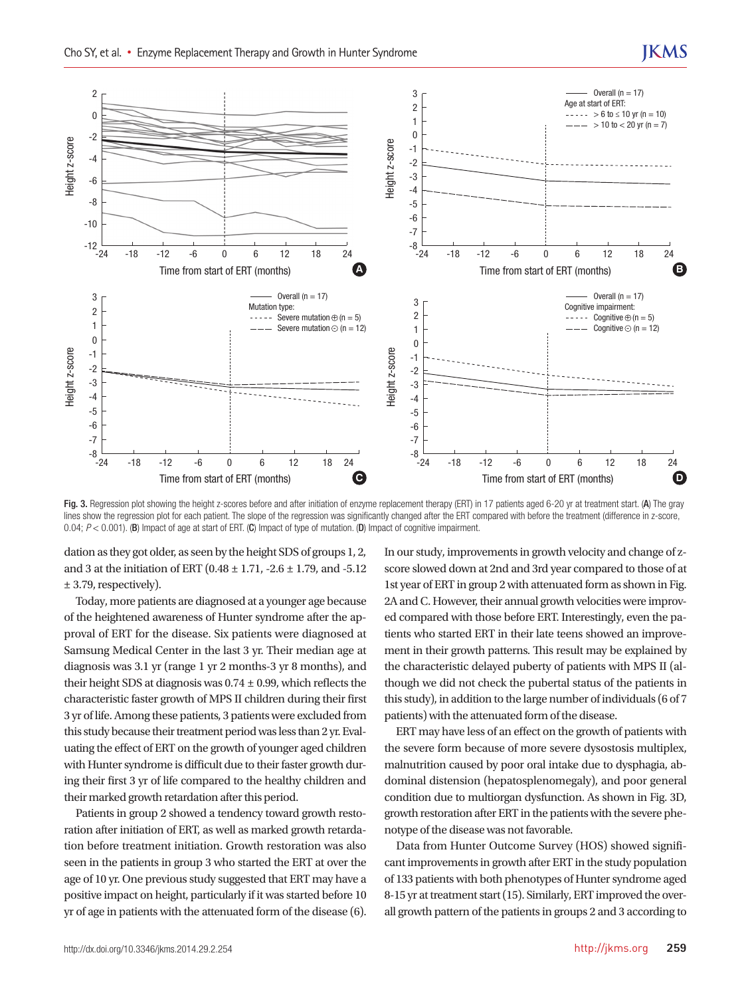

Fig. 3. Regression plot showing the height z-scores before and after initiation of enzyme replacement therapy (ERT) in 17 patients aged 6-20 yr at treatment start. (A) The gray lines show the regression plot for each patient. The slope of the regression was significantly changed after the ERT compared with before the treatment (difference in z-score,

dation as they got older, as seen by the height SDS of groups 1, 2, and 3 at the initiation of ERT (0.48 ± 1.71, -2.6 ± 1.79, and -5.12 ± 3.79, respectively).

Today, more patients are diagnosed at a younger age because of the heightened awareness of Hunter syndrome after the approval of ERT for the disease. Six patients were diagnosed at Samsung Medical Center in the last 3 yr. Their median age at diagnosis was 3.1 yr (range 1 yr 2 months-3 yr 8 months), and their height SDS at diagnosis was  $0.74 \pm 0.99$ , which reflects the characteristic faster growth of MPS II children during their first 3 yr of life. Among these patients, 3 patients were excluded from this study because their treatment period was less than 2 yr. Evaluating the effect of ERT on the growth of younger aged children with Hunter syndrome is difficult due to their faster growth during their first 3 yr of life compared to the healthy children and their marked growth retardation after this period.

Patients in group 2 showed a tendency toward growth restoration after initiation of ERT, as well as marked growth retardation before treatment initiation. Growth restoration was also seen in the patients in group 3 who started the ERT at over the age of 10 yr. One previous study suggested that ERT may have a positive impact on height, particularly if it was started before 10 yr of age in patients with the attenuated form of the disease (6).

In our study, improvements in growth velocity and change of zscore slowed down at 2nd and 3rd year compared to those of at 1st year of ERT in group 2 with attenuated form as shown in Fig. 2A and C. However, their annual growth velocities were improved compared with those before ERT. Interestingly, even the patients who started ERT in their late teens showed an improvement in their growth patterns. This result may be explained by the characteristic delayed puberty of patients with MPS II (although we did not check the pubertal status of the patients in this study), in addition to the large number of individuals (6 of 7 patients) with the attenuated form of the disease.

ERT may have less of an effect on the growth of patients with the severe form because of more severe dysostosis multiplex, malnutrition caused by poor oral intake due to dysphagia, abdominal distension (hepatosplenomegaly), and poor general condition due to multiorgan dysfunction. As shown in Fig. 3D, growth restoration after ERT in the patients with the severe phenotype of the disease was not favorable.

Data from Hunter Outcome Survey (HOS) showed significant improvements in growth after ERT in the study population of 133 patients with both phenotypes of Hunter syndrome aged 8-15 yr at treatment start (15). Similarly, ERT improved the overall growth pattern of the patients in groups 2 and 3 according to